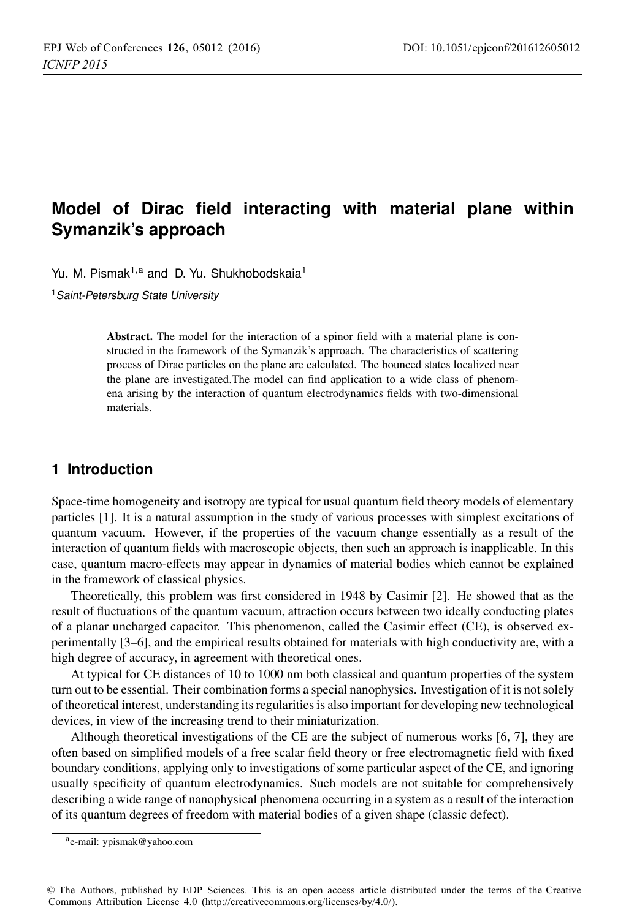# **Model of Dirac field interacting with material plane within Symanzik's approach**

Yu. M. Pismak<sup>1,a</sup> and D. Yu. Shukhobodskaia<sup>1</sup>

<sup>1</sup> Saint-Petersburg State University Saint-Petersburg State University

> Abstract. The model for the interaction of a spinor field with a material plane is constructed in the framework of the Symanzik's approach. The characteristics of scattering process of Dirac particles on the plane are calculated. The bounced states localized near the plane are investigated.The model can find application to a wide class of phenomena arising by the interaction of quantum electrodynamics fields with two-dimensional materials.

## **1 Introduction**

Space-time homogeneity and isotropy are typical for usual quantum field theory models of elementary particles [1]. It is a natural assumption in the study of various processes with simplest excitations of quantum vacuum. However, if the properties of the vacuum change essentially as a result of the interaction of quantum fields with macroscopic objects, then such an approach is inapplicable. In this case, quantum macro-effects may appear in dynamics of material bodies which cannot be explained in the framework of classical physics.

Theoretically, this problem was first considered in 1948 by Casimir [2]. He showed that as the result of fluctuations of the quantum vacuum, attraction occurs between two ideally conducting plates of a planar uncharged capacitor. This phenomenon, called the Casimir effect (CE), is observed experimentally [3–6], and the empirical results obtained for materials with high conductivity are, with a high degree of accuracy, in agreement with theoretical ones.

At typical for CE distances of 10 to 1000 nm both classical and quantum properties of the system turn out to be essential. Their combination forms a special nanophysics. Investigation of it is not solely of theoretical interest, understanding its regularities is also important for developing new technological devices, in view of the increasing trend to their miniaturization.

Although theoretical investigations of the CE are the subject of numerous works [6, 7], they are often based on simplified models of a free scalar field theory or free electromagnetic field with fixed boundary conditions, applying only to investigations of some particular aspect of the CE, and ignoring usually specificity of quantum electrodynamics. Such models are not suitable for comprehensively describing a wide range of nanophysical phenomena occurring in a system as a result of the interaction of its quantum degrees of freedom with material bodies of a given shape (classic defect).

ae-mail: ypismak@yahoo.com

<sup>©</sup> The Authors, published by EDP Sciences. This is an open access article distributed under the terms of the Creative Commons Attribution License 4.0 (http://creativecommons.org/licenses/by/4.0/).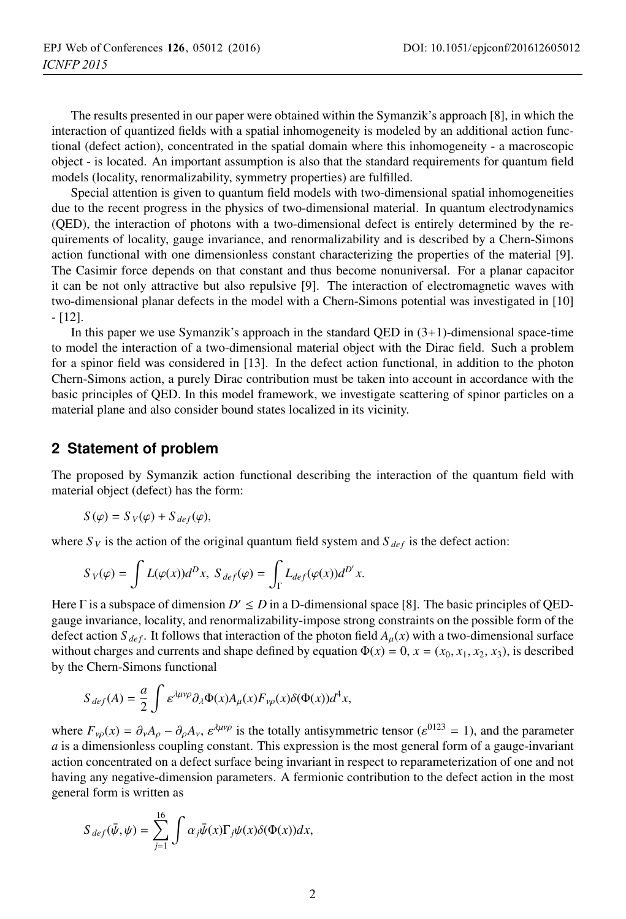The results presented in our paper were obtained within the Symanzik's approach [8], in which the interaction of quantized fields with a spatial inhomogeneity is modeled by an additional action functional (defect action), concentrated in the spatial domain where this inhomogeneity - a macroscopic object - is located. An important assumption is also that the standard requirements for quantum field models (locality, renormalizability, symmetry properties) are fulfilled.

Special attention is given to quantum field models with two-dimensional spatial inhomogeneities due to the recent progress in the physics of two-dimensional material. In quantum electrodynamics (QED), the interaction of photons with a two-dimensional defect is entirely determined by the requirements of locality, gauge invariance, and renormalizability and is described by a Chern-Simons action functional with one dimensionless constant characterizing the properties of the material [9]. The Casimir force depends on that constant and thus become nonuniversal. For a planar capacitor it can be not only attractive but also repulsive [9]. The interaction of electromagnetic waves with two-dimensional planar defects in the model with a Chern-Simons potential was investigated in [10] - [12].

In this paper we use Symanzik's approach in the standard QED in (3+1)-dimensional space-time to model the interaction of a two-dimensional material object with the Dirac field. Such a problem for a spinor field was considered in [13]. In the defect action functional, in addition to the photon Chern-Simons action, a purely Dirac contribution must be taken into account in accordance with the basic principles of QED. In this model framework, we investigate scattering of spinor particles on a material plane and also consider bound states localized in its vicinity.

#### **2 Statement of problem**

The proposed by Symanzik action functional describing the interaction of the quantum field with material object (defect) has the form:

$$
S(\varphi) = S_V(\varphi) + S_{def}(\varphi),
$$

where  $S_V$  is the action of the original quantum field system and  $S_{def}$  is the defect action:

$$
S_V(\varphi) = \int L(\varphi(x))d^Dx, \ S_{def}(\varphi) = \int_{\Gamma} L_{def}(\varphi(x))d^{D'}x.
$$

Here  $\Gamma$  is a subspace of dimension  $D' \le D$  in a D-dimensional space [8]. The basic principles of QEDgauge invariance, locality, and renormalizability-impose strong constraints on the possible form of the defect action *S*  $_{def}$ . It follows that interaction of the photon field  $A_\mu(x)$  with a two-dimensional surface without charges and currents and shape defined by equation  $\Phi(x) = 0$ ,  $x = (x_0, x_1, x_2, x_3)$ , is described by the Chern-Simons functional

$$
S_{def}(A) = \frac{a}{2} \int \varepsilon^{\lambda \mu \nu \rho} \partial_{\lambda} \Phi(x) A_{\mu}(x) F_{\nu \rho}(x) \delta(\Phi(x)) d^4 x,
$$

where  $F_{\gamma\rho}(x) = \partial_{\gamma}A_{\rho} - \partial_{\rho}A_{\gamma}$ ,  $\varepsilon^{\lambda\mu\nu\rho}$  is the totally antisymmetric tensor ( $\varepsilon^{0123} = 1$ ), and the parameter *a* is a dimensionless coupling constant. This expression is the most general form of a gauge-invariant action concentrated on a defect surface being invariant in respect to reparameterization of one and not having any negative-dimension parameters. A fermionic contribution to the defect action in the most general form is written as

$$
S_{def}(\bar{\psi},\psi) = \sum_{j=1}^{16} \int \alpha_j \bar{\psi}(x) \Gamma_j \psi(x) \delta(\Phi(x)) dx,
$$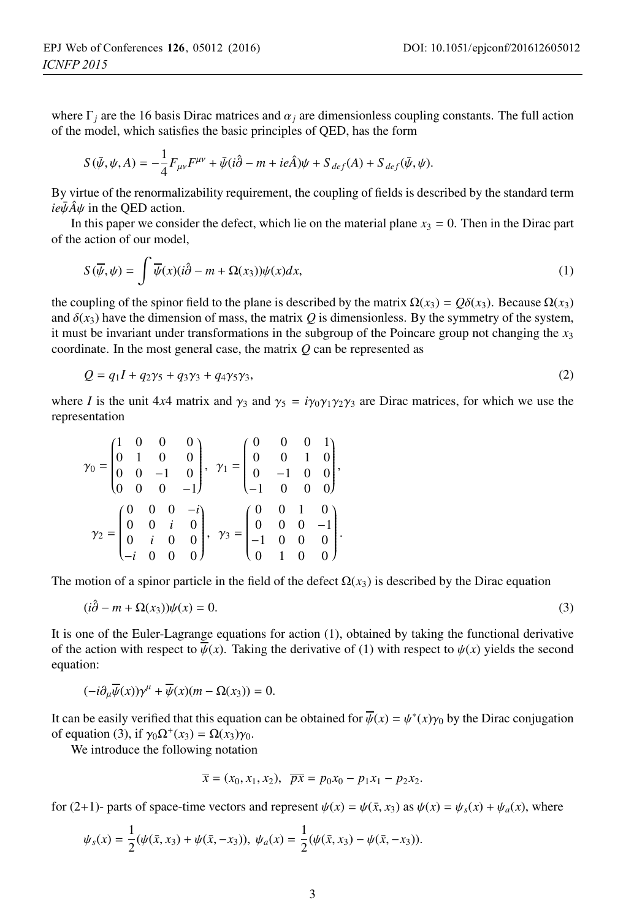where  $\Gamma_i$  are the 16 basis Dirac matrices and  $\alpha_i$  are dimensionless coupling constants. The full action of the model, which satisfies the basic principles of QED, has the form

$$
S(\bar{\psi}, \psi, A) = -\frac{1}{4} F_{\mu\nu} F^{\mu\nu} + \bar{\psi} (i\hat{\partial} - m + ie\hat{A}) \psi + S_{def}(A) + S_{def}(\bar{\psi}, \psi).
$$

By virtue of the renormalizability requirement, the coupling of fields is described by the standard term  $ie\bar{\psi}\hat{A}\psi$  in the QED action.

In this paper we consider the defect, which lie on the material plane  $x_3 = 0$ . Then in the Dirac part of the action of our model,

$$
S(\overline{\psi}, \psi) = \int \overline{\psi}(x)(i\hat{\partial} - m + \Omega(x_3))\psi(x)dx,
$$
\n(1)

the coupling of the spinor field to the plane is described by the matrix  $\Omega(x_3) = Q\delta(x_3)$ . Because  $\Omega(x_3)$ and  $\delta(x_3)$  have the dimension of mass, the matrix *Q* is dimensionless. By the symmetry of the system, it must be invariant under transformations in the subgroup of the Poincare group not changing the  $x_3$ coordinate. In the most general case, the matrix *Q* can be represented as

$$
Q = q_1 I + q_2 \gamma_5 + q_3 \gamma_3 + q_4 \gamma_5 \gamma_3,\tag{2}
$$

where *I* is the unit 4*x*4 matrix and  $\gamma_3$  and  $\gamma_5 = i\gamma_0\gamma_1\gamma_2\gamma_3$  are Dirac matrices, for which we use the representation

$$
\gamma_0 = \begin{pmatrix} 1 & 0 & 0 & 0 \\ 0 & 1 & 0 & 0 \\ 0 & 0 & -1 & 0 \\ 0 & 0 & 0 & -1 \end{pmatrix}, \quad \gamma_1 = \begin{pmatrix} 0 & 0 & 0 & 1 \\ 0 & 0 & 1 & 0 \\ 0 & -1 & 0 & 0 \\ -1 & 0 & 0 & 0 \end{pmatrix},
$$

$$
\gamma_2 = \begin{pmatrix} 0 & 0 & 0 & -i \\ 0 & 0 & i & 0 \\ 0 & i & 0 & 0 \\ -i & 0 & 0 & 0 \end{pmatrix}, \quad \gamma_3 = \begin{pmatrix} 0 & 0 & 1 & 0 \\ 0 & 0 & 0 & -1 \\ -1 & 0 & 0 & 0 \\ 0 & 1 & 0 & 0 \end{pmatrix}.
$$

The motion of a spinor particle in the field of the defect  $\Omega(x_3)$  is described by the Dirac equation

$$
(i\hat{\partial} - m + \Omega(x_3))\psi(x) = 0.
$$
\n(3)

It is one of the Euler-Lagrange equations for action (1), obtained by taking the functional derivative of the action with respect to  $\overline{\psi}(x)$ . Taking the derivative of (1) with respect to  $\psi(x)$  yields the second equation:

$$
(-i\partial_{\mu}\overline{\psi}(x))\gamma^{\mu}+\overline{\psi}(x)(m-\Omega(x_3))=0.
$$

It can be easily verified that this equation can be obtained for  $\overline{\psi}(x) = \psi^*(x)\gamma_0$  by the Dirac conjugation of equation (3), if  $\gamma_0 \Omega^+(x_3) = \Omega(x_3)\gamma_0$ .

We introduce the following notation

$$
\overline{x} = (x_0, x_1, x_2), \overline{px} = p_0x_0 - p_1x_1 - p_2x_2.
$$

for (2+1)- parts of space-time vectors and represent  $\psi(x) = \psi(\bar{x}, x_3)$  as  $\psi(x) = \psi_s(x) + \psi_a(x)$ , where

$$
\psi_s(x) = \frac{1}{2}(\psi(\bar{x}, x_3) + \psi(\bar{x}, -x_3)), \ \psi_a(x) = \frac{1}{2}(\psi(\bar{x}, x_3) - \psi(\bar{x}, -x_3)).
$$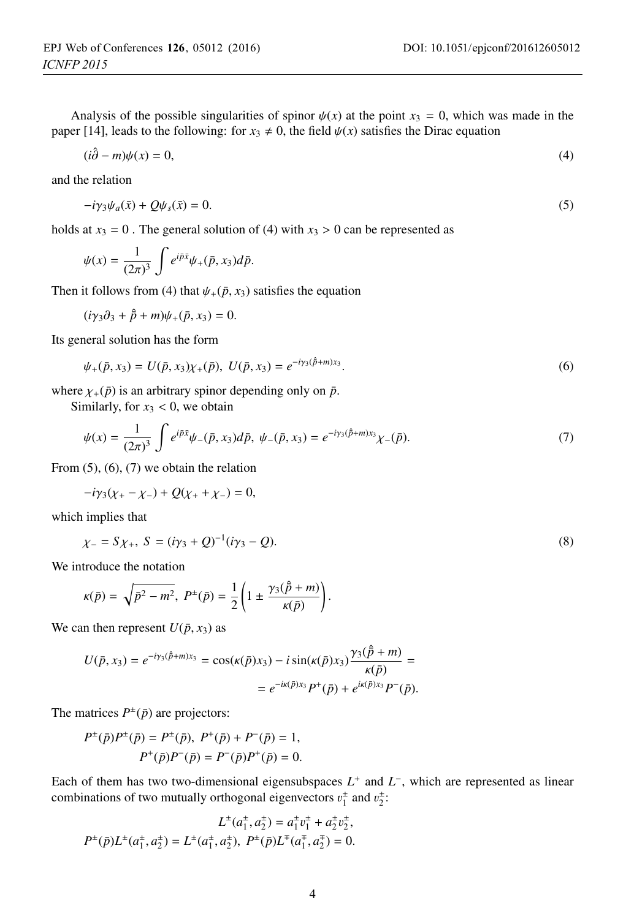Analysis of the possible singularities of spinor  $\psi(x)$  at the point  $x_3 = 0$ , which was made in the paper [14], leads to the following: for  $x_3 \neq 0$ , the field  $\psi(x)$  satisfies the Dirac equation

$$
(\mathrm{i}\hat{\partial} - m)\psi(x) = 0,\tag{4}
$$

and the relation

$$
-i\gamma_3\psi_a(\bar{x}) + Q\psi_s(\bar{x}) = 0.
$$
\n(5)

holds at  $x_3 = 0$ . The general solution of (4) with  $x_3 > 0$  can be represented as

$$
\psi(x) = \frac{1}{(2\pi)^3} \int e^{i\bar{p}\bar{x}} \psi_+(\bar{p}, x_3) d\bar{p}.
$$

Then it follows from (4) that  $\psi_+(\bar{p}, x_3)$  satisfies the equation

$$
(i\gamma_3\partial_3+\hat{\bar{p}}+m)\psi_+(\bar{p},x_3)=0.
$$

Its general solution has the form

$$
\psi_{+}(\bar{p},x_{3})=U(\bar{p},x_{3})\chi_{+}(\bar{p}),\ U(\bar{p},x_{3})=e^{-i\gamma_{3}(\hat{p}+m)x_{3}}.
$$
\n(6)

where  $\chi_{+}(\bar{p})$  is an arbitrary spinor depending only on  $\bar{p}$ .

Similarly, for  $x_3 < 0$ , we obtain

$$
\psi(x) = \frac{1}{(2\pi)^3} \int e^{i\bar{p}\bar{x}} \psi_{-}(\bar{p}, x_3) d\bar{p}, \ \psi_{-}(\bar{p}, x_3) = e^{-i\gamma_3(\hat{p} + m)x_3} \chi_{-}(\bar{p}). \tag{7}
$$

From (5), (6), (7) we obtain the relation

$$
-i\gamma_3(\chi_+ - \chi_-) + Q(\chi_+ + \chi_-) = 0,
$$

which implies that

$$
\chi_{-} = S\chi_{+}, \ S = (i\gamma_{3} + Q)^{-1}(i\gamma_{3} - Q). \tag{8}
$$

We introduce the notation

$$
\kappa(\bar{p}) = \sqrt{\bar{p}^2 - m^2}, P^{\pm}(\bar{p}) = \frac{1}{2} \left( 1 \pm \frac{\gamma_3(\hat{p} + m)}{\kappa(\bar{p})} \right).
$$

We can then represent  $U(\bar{p}, x_3)$  as

$$
U(\bar{p}, x_3) = e^{-i\gamma_3(\hat{p}+m)x_3} = \cos(\kappa(\bar{p})x_3) - i\sin(\kappa(\bar{p})x_3)\frac{\gamma_3(\hat{p}+m)}{\kappa(\bar{p})} =
$$
  
=  $e^{-i\kappa(\bar{p})x_3}P^+(\bar{p}) + e^{i\kappa(\bar{p})x_3}P^-(\bar{p}).$ 

The matrices  $P^{\pm}(\bar{p})$  are projectors:

$$
P^{\pm}(\bar{p})P^{\pm}(\bar{p}) = P^{\pm}(\bar{p}), P^+(\bar{p}) + P^-(\bar{p}) = 1,
$$
  

$$
P^+(\bar{p})P^-(\bar{p}) = P^-(\bar{p})P^+(\bar{p}) = 0.
$$

Each of them has two two-dimensional eigensubspaces *L*<sup>+</sup> and *L*−, which are represented as linear combinations of two mutually orthogonal eigenvectors  $v_1^{\pm}$  and  $v_2^{\pm}$ :

$$
L^{\pm}(a_1^{\pm},a_2^{\pm}) = a_1^{\pm}v_1^{\pm} + a_2^{\pm}v_2^{\pm},
$$
  

$$
P^{\pm}(\bar{p})L^{\pm}(a_1^{\pm},a_2^{\pm}) = L^{\pm}(a_1^{\pm},a_2^{\pm}), \ P^{\pm}(\bar{p})L^{\mp}(a_1^{\mp},a_2^{\mp}) = 0.
$$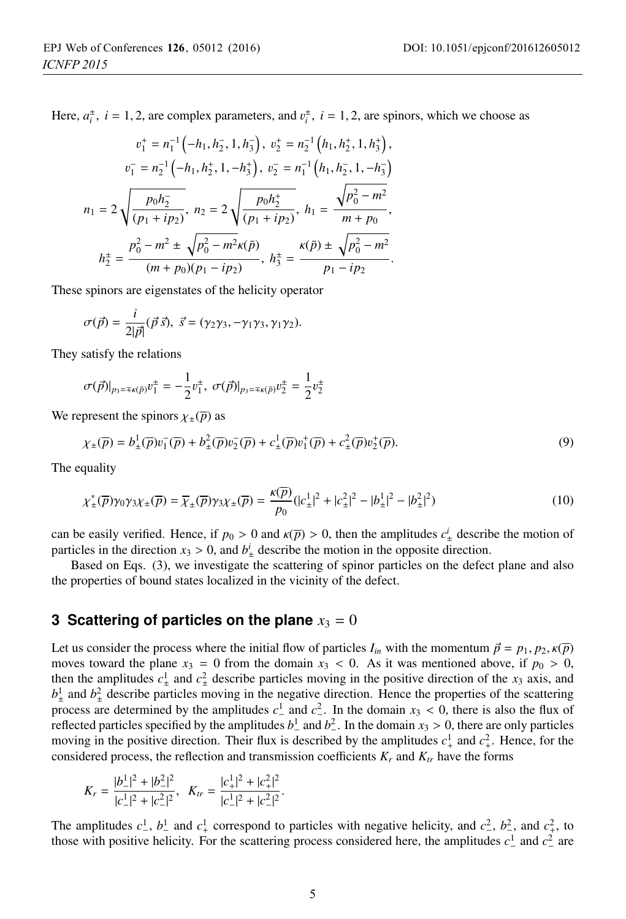Here,  $a_i^{\pm}$ ,  $i = 1, 2$ , are complex parameters, and  $v_i^{\pm}$ ,  $i = 1, 2$ , are spinors, which we choose as

$$
v_1^+ = n_1^{-1} \left( -h_1, h_2^-, 1, h_3^- \right), v_2^+ = n_2^{-1} \left( h_1, h_2^+, 1, h_3^+ \right),
$$
  
\n
$$
v_1^- = n_2^{-1} \left( -h_1, h_2^+, 1, -h_3^+ \right), v_2^- = n_1^{-1} \left( h_1, h_2^-, 1, -h_3^- \right)
$$
  
\n
$$
n_1 = 2 \sqrt{\frac{p_0 h_2^-}{(p_1 + ip_2)}}, n_2 = 2 \sqrt{\frac{p_0 h_2^+}{(p_1 + ip_2)}}, h_1 = \frac{\sqrt{p_0^2 - m^2}}{m + p_0},
$$
  
\n
$$
h_2^{\pm} = \frac{p_0^2 - m^2 \pm \sqrt{p_0^2 - m^2 \kappa(\bar{p})}}{(m + p_0)(p_1 - ip_2)}, h_3^{\pm} = \frac{\kappa(\bar{p}) \pm \sqrt{p_0^2 - m^2}}{p_1 - ip_2}.
$$

These spinors are eigenstates of the helicity operator

$$
\sigma(\vec{p}) = \frac{i}{2|\vec{p}|}(\vec{p}\,\vec{s}), \ \vec{s} = (\gamma_2\gamma_3, -\gamma_1\gamma_3, \gamma_1\gamma_2).
$$

They satisfy the relations

$$
\sigma(\vec{p})|_{p_3=\mp\kappa(\vec{p})}v_1^{\pm}=-\frac{1}{2}v_1^{\pm}, \ \sigma(\vec{p})|_{p_3=\mp\kappa(\vec{p})}v_2^{\pm}=\frac{1}{2}v_2^{\pm}
$$

We represent the spinors  $\chi_{\pm}(\overline{p})$  as

$$
\chi_{\pm}(\overline{p}) = b_{\pm}^{1}(\overline{p})v_{1}^{-}(\overline{p}) + b_{\pm}^{2}(\overline{p})v_{2}^{-}(\overline{p}) + c_{\pm}^{1}(\overline{p})v_{1}^{+}(\overline{p}) + c_{\pm}^{2}(\overline{p})v_{2}^{+}(\overline{p}).
$$
\n(9)

The equality

$$
\chi_{\pm}^{*}(\overline{p})\gamma_{0}\gamma_{3}\chi_{\pm}(\overline{p}) = \overline{\chi}_{\pm}(\overline{p})\gamma_{3}\chi_{\pm}(\overline{p}) = \frac{\kappa(\overline{p})}{p_{0}}(|c_{\pm}^{1}|^{2} + |c_{\pm}^{2}|^{2} - |b_{\pm}^{1}|^{2} - |b_{\pm}^{2}|^{2})
$$
(10)

can be easily verified. Hence, if  $p_0 > 0$  and  $\kappa(\overline{p}) > 0$ , then the amplitudes  $c_{\pm}^i$  describe the motion of particles in the direction  $x_0 > 0$  and  $b^i$  describe the motion in the opposite direction particles in the direction  $x_3 > 0$ , and  $b^i_{\pm}$  describe the motion in the opposite direction.<br>Based on Eqs. (3) we investigate the scattering of spinor particles on the defec-

Based on Eqs. (3), we investigate the scattering of spinor particles on the defect plane and also the properties of bound states localized in the vicinity of the defect.

#### **3 Scattering of particles on the plane**  $x_3 = 0$

Let us consider the process where the initial flow of particles  $I_{in}$  with the momentum  $\vec{p} = p_1, p_2, \kappa(\vec{p})$ moves toward the plane  $x_3 = 0$  from the domain  $x_3 < 0$ . As it was mentioned above, if  $p_0 > 0$ , then the amplitudes  $c_{\pm}^1$  and  $c_{\pm}^2$  describe particles moving in the positive direction of the *x*<sub>3</sub> axis, and  $b_{\pm}^1$  and  $b_{\pm}^2$  describe particles moving in the negative direction. Hence the properties of the scattering process are determined by the amplitudes  $c_{-}^1$  and  $c_{-}^2$ . In the domain  $x_3 < 0$ , there is also the flux of reflected particles specified by the amplitudes  $b_1^1$  and  $b_2^2$ . In the domain  $x_3 > 0$ , there are only reflected particles specified by the amplitudes  $b^1$  and  $b^2$ . In the domain  $x_3 > 0$ , there are only particles moving in the positive direction. Their flux is described by the amplitudes  $c^1$  and  $c^2$ . Hence, for the moving in the positive direction. Their flux is described by the amplitudes  $c_{+}^{1}$  and  $c_{+}^{2}$ . Hence, for the considered process, the reflection and transmission coefficients  $K_r$  and  $K_{tr}$  have the forms

$$
K_r = \frac{|b^{\perp}_{-}|^2 + |b^{\perp}_{-}|^2}{|c^{\perp}_{-}|^2 + |c^{\perp}_{-}|^2}, \quad K_{tr} = \frac{|c^{\perp}_{+}|^2 + |c^{\perp}_{+}|^2}{|c^{\perp}_{-}|^2 + |c^{\perp}_{-}|^2}.
$$

The amplitudes  $c_1^1$ ,  $b_1^1$  and  $c_1^1$  correspond to particles with negative helicity, and  $c_1^2$ ,  $b_2^2$ , and  $c_3^2$ , to those with positive helicity. For the scattering process considered here, the amplitudes  $c_{-}^{1}$  and  $c_{-}^{2}$  are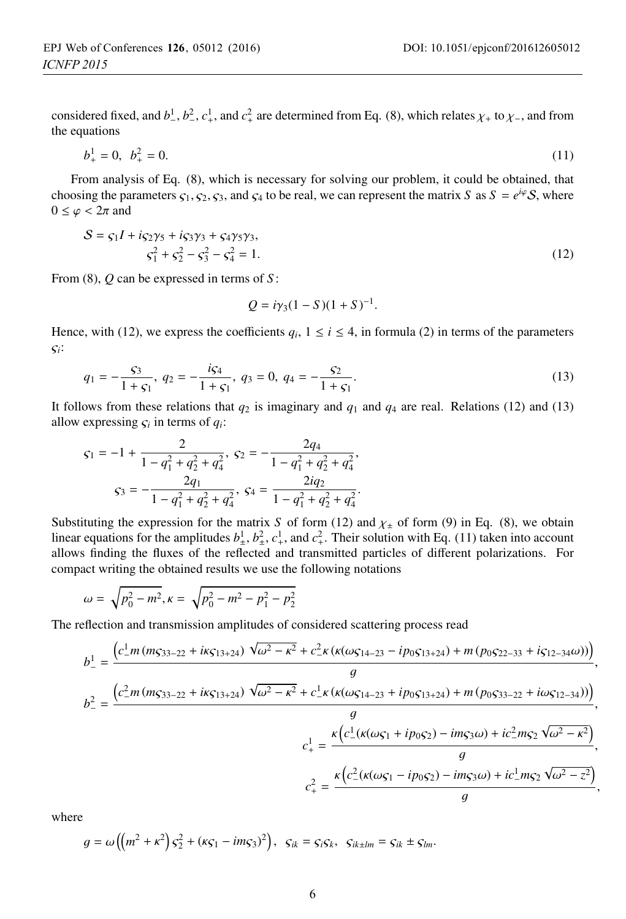considered fixed, and  $b^1, b^2, c^1,$  and  $c^2$  are determined from Eq. (8), which relates  $\chi_+$  to  $\chi_-$ , and from the equations the equations

$$
b_+^1 = 0, \ b_+^2 = 0. \tag{11}
$$

From analysis of Eq. (8), which is necessary for solving our problem, it could be obtained, that choosing the parameters  $\varsigma_1$ ,  $\varsigma_2$ ,  $\varsigma_3$ , and  $\varsigma_4$  to be real, we can represent the matrix *S* as  $S = e^{i\varphi} S$ , where  $0 \leq \varphi < 2\pi$  and

$$
S = \zeta_1 I + i\zeta_2 \gamma_5 + i\zeta_3 \gamma_3 + \zeta_4 \gamma_5 \gamma_3, \n\zeta_1^2 + \zeta_2^2 - \zeta_3^2 - \zeta_4^2 = 1.
$$
\n(12)

From (8), *Q* can be expressed in terms of *S* :

$$
Q = i\gamma_3(1-S)(1+S)^{-1}
$$

Hence, with (12), we express the coefficients  $q_i$ ,  $1 \le i \le 4$ , in formula (2) in terms of the parameters ς*i*:

$$
q_1 = -\frac{S_3}{1 + S_1}, \ q_2 = -\frac{i\zeta_4}{1 + S_1}, \ q_3 = 0, \ q_4 = -\frac{S_2}{1 + S_1}.
$$
\n(13)

It follows from these relations that  $q_2$  is imaginary and  $q_1$  and  $q_4$  are real. Relations (12) and (13) allow expressing  $\varsigma_i$  in terms of  $q_i$ :

$$
S_1 = -1 + \frac{2}{1 - q_1^2 + q_2^2 + q_4^2}, \ S_2 = -\frac{2q_4}{1 - q_1^2 + q_2^2 + q_4^2},
$$
  

$$
S_3 = -\frac{2q_1}{1 - q_1^2 + q_2^2 + q_4^2}, \ S_4 = \frac{2iq_2}{1 - q_1^2 + q_2^2 + q_4^2}.
$$

Substituting the expression for the matrix *S* of form (12) and  $\chi_{\pm}$  of form (9) in Eq. (8), we obtain linear equations for the amplitudes  $b_{\pm}^1$ ,  $b_{\pm}^2$ ,  $c_{\pm}^1$ , and  $c_{\pm}^2$ . Their solution with Eq. (11) taken into account allows finding the fluxes of the reflected and transmitted particles of different polarizations. For compact writing the obtained results we use the following notations

$$
\omega = \sqrt{p_0^2 - m^2}, \kappa = \sqrt{p_0^2 - m^2 - p_1^2 - p_2^2}
$$

The reflection and transmission amplitudes of considered scattering process read

$$
b_{-}^{1} = \frac{\left(c_{-}^{1}m\left(m_{533-22} + ik_{513+24}\right)\sqrt{\omega^{2} - \kappa^{2}} + c_{-}^{2}\kappa\left(\kappa(\omega_{514-23} - ip_{0513+24}) + m\left(p_{0522-33} + i_{512-34}\omega\right)\right)\right)}{g},
$$
  
\n
$$
b_{-}^{2} = \frac{\left(c_{-}^{2}m\left(m_{533-22} + ik_{513+24}\right)\sqrt{\omega^{2} - \kappa^{2}} + c_{-}^{1}\kappa\left(\kappa(\omega_{514-23} + ip_{0513+24}) + m\left(p_{0533-22} + i\omega_{512-34}\right)\right)\right)}{g},
$$
  
\n
$$
c_{+}^{1} = \frac{\kappa\left(c_{-}^{1}(\kappa(\omega_{51} + ip_{052}) - im_{53}\omega) + ic_{-}^{2}m_{52}\sqrt{\omega^{2} - \kappa^{2}}\right)}{g},
$$
  
\n
$$
c_{+}^{2} = \frac{\kappa\left(c_{-}^{2}(\kappa(\omega_{51} - ip_{052}) - im_{53}\omega) + ic_{-}^{1}m_{52}\sqrt{\omega^{2} - z^{2}}\right)}{g},
$$

where

$$
g = \omega\left(\left(m^2 + \kappa^2\right)\varsigma_2^2 + \left(\kappa\varsigma_1 - im\varsigma_3\right)^2\right), \ \ \varsigma_{ik} = \varsigma_i\varsigma_k, \ \ \varsigma_{ik\pm lm} = \varsigma_{ik} \pm \varsigma_{lm}.
$$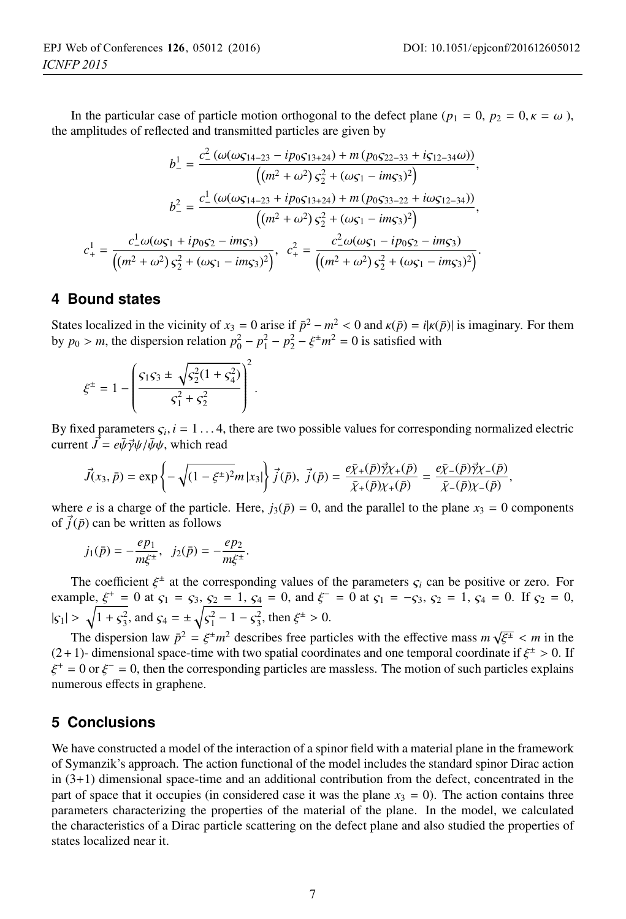In the particular case of particle motion orthogonal to the defect plane ( $p_1 = 0$ ,  $p_2 = 0$ ,  $\kappa = \omega$ ), the amplitudes of reflected and transmitted particles are given by

$$
b_{-}^{1} = \frac{c_{-}^{2} (\omega(\omega\varsigma_{14-23} - ip_{0}\varsigma_{13+24}) + m (p_{0}\varsigma_{22-33} + i\varsigma_{12-34}\omega))}{\left((m^{2} + \omega^{2})\varsigma_{2}^{2} + (\omega\varsigma_{1} - im\varsigma_{3})^{2}\right)},
$$

$$
b_{-}^{2} = \frac{c_{-}^{1} (\omega(\omega\varsigma_{14-23} + ip_{0}\varsigma_{13+24}) + m (p_{0}\varsigma_{33-22} + i\omega\varsigma_{12-34}))}{\left((m^{2} + \omega^{2})\varsigma_{2}^{2} + (\omega\varsigma_{1} - im\varsigma_{3})^{2}\right)},
$$

$$
c_{+}^{1} = \frac{c_{-}^{1} \omega(\omega\varsigma_{1} + ip_{0}\varsigma_{2} - im\varsigma_{3})}{\left((m^{2} + \omega^{2})\varsigma_{2}^{2} + (\omega\varsigma_{1} - im\varsigma_{3})^{2}\right)},
$$

$$
c_{+}^{2} = \frac{c_{-}^{2} \omega(\omega\varsigma_{1} - ip_{0}\varsigma_{2} - im\varsigma_{3})}{\left((m^{2} + \omega^{2})\varsigma_{2}^{2} + (\omega\varsigma_{1} - im\varsigma_{3})^{2}\right)}.
$$

#### **4 Bound states**

States localized in the vicinity of  $x_3 = 0$  arise if  $\bar{p}^2 - m^2 < 0$  and  $\kappa(\bar{p}) = i|\kappa(\bar{p})|$  is imaginary. For them by  $p_0 > m$ , the dispersion relation  $p_0^2 - p_1^2 - p_2^2 - \xi^{\pm} m^2 = 0$  is satisfied with

$$
\xi^{\pm} = 1 - \left( \frac{s_1 s_3 \pm \sqrt{s_2^2 (1 + s_4^2)}}{s_1^2 + s_2^2} \right)^2
$$

By fixed parameters  $\varsigma_i$ ,  $i = 1...4$ , there are two possible values for corresponding normalized electric current  $\vec{J} = e\vec{\psi}\vec{\gamma}\psi/\vec{\psi}\psi$ , which read

$$
\vec{J}(x_3,\bar{p}) = \exp\left\{-\sqrt{(1-\xi^{\pm})^2}m|x_3|\right\} \vec{j}(\bar{p}), \ \vec{j}(\bar{p}) = \frac{e\bar{\chi}_{+}(\bar{p})\vec{\gamma}\chi_{+}(\bar{p})}{\bar{\chi}_{+}(\bar{p})\chi_{+}(\bar{p})} = \frac{e\bar{\chi}_{-}(\bar{p})\vec{\gamma}\chi_{-}(\bar{p})}{\bar{\chi}_{-}(\bar{p})\chi_{-}(\bar{p})},
$$

where *e* is a charge of the particle. Here,  $j_3(\bar{p}) = 0$ , and the parallel to the plane  $x_3 = 0$  components of  $\vec{j}$  ( $\vec{p}$ ) can be written as follows

$$
j_1(\bar{p}) = -\frac{ep_1}{m\xi^{\pm}}, \quad j_2(\bar{p}) = -\frac{ep_2}{m\xi^{\pm}}.
$$

The coefficient  $\xi^{\pm}$  at the corresponding values of the parameters  $\zeta_i$  can be positive or zero. For example,  $\xi^+ = 0$  at  $\varsigma_1 = \varsigma_3$ ,  $\varsigma_2 = 1$ ,  $\varsigma_4 = 0$ , and  $\xi^- = 0$  at  $\varsigma_1 = -\varsigma_3$ ,  $\varsigma_2 = 1$ ,  $\varsigma_4 = 0$ . If  $\varsigma_2 = 0$ ,  $|S_1| > \sqrt{1 + s_3^2}$ , and  $s_4 = \pm \sqrt{s_1^2 - 1 - s_3^2}$ , then  $\xi^{\pm} > 0$ .

The dispersion law  $\bar{p}^2 = \xi^{\pm} m^2$  describes free particles with the effective mass  $m \sqrt{\xi^{\pm}} < m$  in the 1.1-dimensional space-time with two spatial coordinates and one temporal coordinate if  $\xi^{\pm} > 0$ . If  $(2+1)$ - dimensional space-time with two spatial coordinates and one temporal coordinate if  $\xi^{\pm} > 0$ . If  $\xi^+ = 0$  or  $\xi^- = 0$ , then the corresponding particles are massless. The motion of such particles explains numerous effects in graphene.

### **5 Conclusions**

We have constructed a model of the interaction of a spinor field with a material plane in the framework of Symanzik's approach. The action functional of the model includes the standard spinor Dirac action in  $(3+1)$  dimensional space-time and an additional contribution from the defect, concentrated in the part of space that it occupies (in considered case it was the plane  $x_3 = 0$ ). The action contains three parameters characterizing the properties of the material of the plane. In the model, we calculated the characteristics of a Dirac particle scattering on the defect plane and also studied the properties of states localized near it.